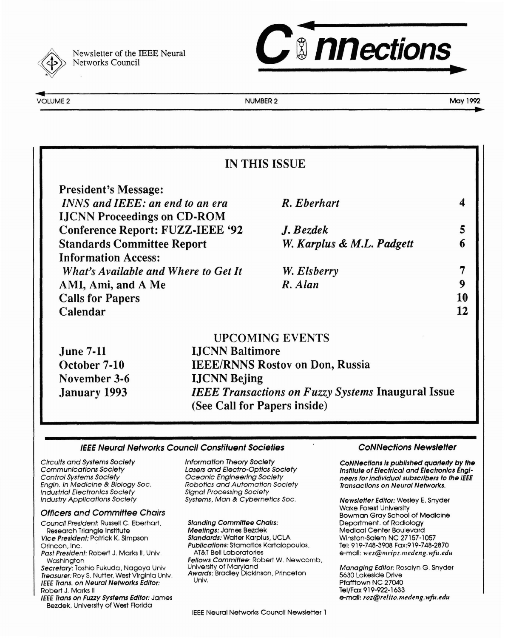

**of** the **lEEE** Neural Networks Council



**VOLUME 2** 

NUMBER 2 **May** 1992

|                                                                                                                                                                                      | IN THIS ISSUE                                                                                                                                                                                                  |                                                         |                               |               |  |  |
|--------------------------------------------------------------------------------------------------------------------------------------------------------------------------------------|----------------------------------------------------------------------------------------------------------------------------------------------------------------------------------------------------------------|---------------------------------------------------------|-------------------------------|---------------|--|--|
| <b>President's Message:</b><br>INNS and IEEE: an end to an era<br><b>IJCNN Proceedings on CD-ROM</b><br><b>Conference Report: FUZZ-IEEE '92</b><br><b>Standards Committee Report</b> |                                                                                                                                                                                                                | R. Eberhart<br>$J.$ Bezdek<br>W. Karplus & M.L. Padgett |                               | 4<br>5<br>6   |  |  |
| <b>Information Access:</b><br>What's Available and Where to Get It<br>AMI, Ami, and A Me<br><b>Calls for Papers</b><br>Calendar                                                      |                                                                                                                                                                                                                | W. Elsberry<br>R. Alan                                  |                               | 9<br>10<br>12 |  |  |
| <b>June 7-11</b><br>October 7-10<br>November 3-6<br>January 1993                                                                                                                     | <b>UPCOMING EVENTS</b><br><b>IJCNN Baltimore</b><br><b>IEEE/RNNS Rostov on Don, Russia</b><br><b>IJCNN</b> Bejing<br><b>IEEE Transactions on Fuzzy Systems Inaugural Issue</b><br>(See Call for Papers inside) |                                                         |                               |               |  |  |
| <b>IEEE Neural Networks Council Constituent Societies</b>                                                                                                                            |                                                                                                                                                                                                                |                                                         |                               |               |  |  |
| <b>Circults and Systems Society</b>                                                                                                                                                  |                                                                                                                                                                                                                |                                                         | <b>CoNNections Newsletter</b> |               |  |  |